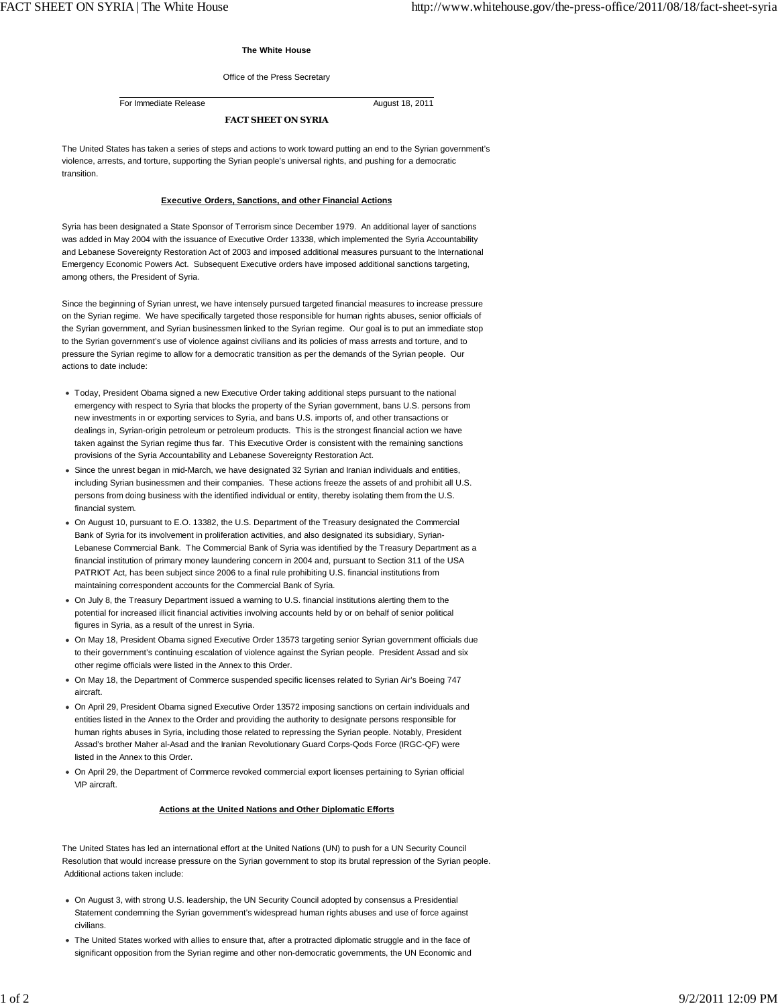## **The White House**

#### Office of the Press Secretary

For Immediate Release August 18, 2011

## **FACT SHEET ON SYRIA**

The United States has taken a series of steps and actions to work toward putting an end to the Syrian government's violence, arrests, and torture, supporting the Syrian people's universal rights, and pushing for a democratic transition.

#### **Executive Orders, Sanctions, and other Financial Actions**

Syria has been designated a State Sponsor of Terrorism since December 1979. An additional layer of sanctions was added in May 2004 with the issuance of Executive Order 13338, which implemented the Syria Accountability and Lebanese Sovereignty Restoration Act of 2003 and imposed additional measures pursuant to the International Emergency Economic Powers Act. Subsequent Executive orders have imposed additional sanctions targeting, among others, the President of Syria.

Since the beginning of Syrian unrest, we have intensely pursued targeted financial measures to increase pressure on the Syrian regime. We have specifically targeted those responsible for human rights abuses, senior officials of the Syrian government, and Syrian businessmen linked to the Syrian regime. Our goal is to put an immediate stop to the Syrian government's use of violence against civilians and its policies of mass arrests and torture, and to pressure the Syrian regime to allow for a democratic transition as per the demands of the Syrian people. Our actions to date include:

- Today, President Obama signed a new Executive Order taking additional steps pursuant to the national emergency with respect to Syria that blocks the property of the Syrian government, bans U.S. persons from new investments in or exporting services to Syria, and bans U.S. imports of, and other transactions or dealings in, Syrian-origin petroleum or petroleum products. This is the strongest financial action we have taken against the Syrian regime thus far. This Executive Order is consistent with the remaining sanctions provisions of the Syria Accountability and Lebanese Sovereignty Restoration Act.
- Since the unrest began in mid-March, we have designated 32 Syrian and Iranian individuals and entities, including Syrian businessmen and their companies. These actions freeze the assets of and prohibit all U.S. persons from doing business with the identified individual or entity, thereby isolating them from the U.S. financial system.
- On August 10, pursuant to E.O. 13382, the U.S. Department of the Treasury designated the Commercial Bank of Syria for its involvement in proliferation activities, and also designated its subsidiary, Syrian-Lebanese Commercial Bank. The Commercial Bank of Syria was identified by the Treasury Department as a financial institution of primary money laundering concern in 2004 and, pursuant to Section 311 of the USA PATRIOT Act, has been subject since 2006 to a final rule prohibiting U.S. financial institutions from maintaining correspondent accounts for the Commercial Bank of Syria.
- On July 8, the Treasury Department issued a warning to U.S. financial institutions alerting them to the potential for increased illicit financial activities involving accounts held by or on behalf of senior political figures in Syria, as a result of the unrest in Syria.
- On May 18, President Obama signed Executive Order 13573 targeting senior Syrian government officials due to their government's continuing escalation of violence against the Syrian people. President Assad and six other regime officials were listed in the Annex to this Order.
- On May 18, the Department of Commerce suspended specific licenses related to Syrian Air's Boeing 747 aircraft.
- On April 29, President Obama signed Executive Order 13572 imposing sanctions on certain individuals and entities listed in the Annex to the Order and providing the authority to designate persons responsible for human rights abuses in Syria, including those related to repressing the Syrian people. Notably, President Assad's brother Maher al-Asad and the Iranian Revolutionary Guard Corps-Qods Force (IRGC-QF) were listed in the Annex to this Order.
- On April 29, the Department of Commerce revoked commercial export licenses pertaining to Syrian official VIP aircraft.

# **Actions at the United Nations and Other Diplomatic Efforts**

The United States has led an international effort at the United Nations (UN) to push for a UN Security Council Resolution that would increase pressure on the Syrian government to stop its brutal repression of the Syrian people. Additional actions taken include:

- On August 3, with strong U.S. leadership, the UN Security Council adopted by consensus a Presidential Statement condemning the Syrian government's widespread human rights abuses and use of force against civilians.
- The United States worked with allies to ensure that, after a protracted diplomatic struggle and in the face of significant opposition from the Syrian regime and other non-democratic governments, the UN Economic and